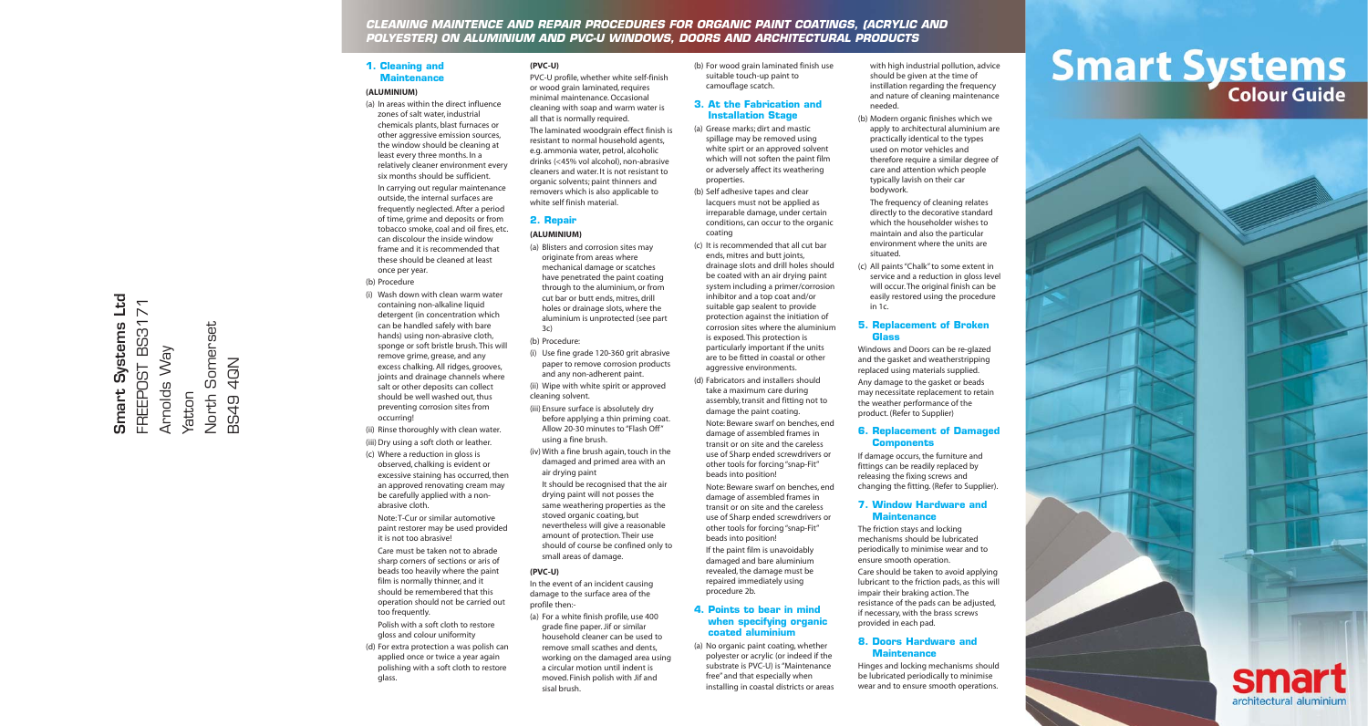## **CLEANING MAINTENCE AND REPAIR PROCEDURES FOR ORGANIC PAINT COATINGS, (ACRYLIC AND POLYESTER) ON ALUMINIUM AND PVC-U WINDOWS, DOORS AND ARCHITECTURAL PRODUCTS**

#### **1. Cleaning and Maintenance**

#### **(ALUMINIUM)**

(a) In areas within the direct influence zones of salt water, industrial chemicals plants, blast furnaces or other aggressive emission sources, the window should be cleaning at least every three months. In a relatively cleaner environment every six months should be sufficient. In carrying out regular maintenance outside, the internal surfaces are frequently neglected. After a period of time, grime and deposits or from tobacco smoke, coal and oil fires, etc. can discolour the inside window frame and it is recommended that these should be cleaned at least once per year.

#### (b) Procedure

(i) Wash down with clean warm water containing non-alkaline liquid detergent (in concentration which can be handled safely with bare hands) using non-abrasive cloth, sponge or soft bristle brush. This will remove grime, grease, and any excess chalking. All ridges, grooves, joints and drainage channels where salt or other deposits can collect should be well washed out, thus preventing corrosion sites from occurring!

(ii) Rinse thoroughly with clean water. (iii) Dry using a soft cloth or leather.

- (c) Where a reduction in gloss is observed, chalking is evident or excessive staining has occurred, then an approved renovating cream may be carefully applied with a nonabrasive cloth. Note: T-Cur or similar automotive paint restorer may be used provided it is not too abrasive! Care must be taken not to abrade sharp corners of sections or aris of beads too heavily where the paint
- film is normally thinner, and it should be remembered that this operation should not be carried out too frequently.
- Polish with a soft cloth to restore gloss and colour uniformity
- (d) For extra protection a was polish can applied once or twice a year again polishing with a soft cloth to restore glass.

#### **(PVC-U)**

PVC-U profile, whether white self-finish or wood grain laminated, requires minimal maintenance. Occasional cleaning with soap and warm water is all that is normally required. The laminated woodgrain effect finish is resistant to normal household agents, e.g. ammonia water, petrol, alcoholic drinks (<45% vol alcohol), non-abrasive cleaners and water. It is not resistant to organic solvents; paint thinners and removers which is also applicable to white self finish material.

## **2. Repair**

# **(ALUMINIUM)**

(a) Blisters and corrosion sites may originate from areas where mechanical damage or scatches have penetrated the paint coating through to the aluminium, or from cut bar or butt ends, mitres, drill holes or drainage slots, where the aluminium is unprotected (see part 3c)

(b) Procedure:

- (i) Use fine grade 120-360 grit abrasive paper to remove corrosion products and any non-adherent paint.
- (ii) Wipe with white spirit or approved cleaning solvent. (iii) Ensure surface is absolutely dry
- before applying a thin priming coat. Allow 20-30 minutes to "Flash Off" using a fine brush.
- (iv) With a fine brush again, touch in the damaged and primed area with an air drying paint
- It should be recognised that the air drying paint will not posses the same weathering properties as the stoved organic coating, but nevertheless will give a reasonable amount of protection. Their use should of course be confined only to small areas of damage.

#### **(PVC-U)**

In the event of an incident causing damage to the surface area of the profile then:-

- (a) For a white finish profile, use 400 grade fine paper. Jif or similar household cleaner can be used to remove small scathes and dents,
- working on the damaged area using a circular motion until indent is moved. Finish polish with Jif and sisal brush.

(b) For wood grain laminated finish use suitable touch-up paint to camouflage scatch.

## **3. At the Fabrication and Installation Stage**

(a) Grease marks; dirt and mastic spillage may be removed using white spirt or an approved solvent which will not soften the paint film or adversely affect its weathering properties. (b) Self adhesive tapes and clear

lacquers must not be applied as irreparable damage, under certain conditions, can occur to the organic coating

(c) It is recommended that all cut bar ends, mitres and butt joints, drainage slots and drill holes should be coated with an air drying paint system including a primer/corrosion inhibitor and a top coat and/or suitable gap sealent to provide protection against the initiation of corrosion sites where the aluminium

is exposed. This protection is particularly important if the units are to be fitted in coastal or other aggressive environments. (d) Fabricators and installers should

take a maximum care during assembly, transit and fitting not to damage the paint coating. Note: Beware swarf on benches, end

damage of assembled frames in transit or on site and the careless use of Sharp ended screwdrivers or other tools for forcing "snap-Fit" beads into position!

Note: Beware swarf on benches, end damage of assembled frames in transit or on site and the careless use of Sharp ended screwdrivers or other tools for forcing "snap-Fit" beads into position! If the paint film is unavoidably damaged and bare aluminium revealed, the damage must be repaired immediately using

## **4. Points to bear in mind when specifying organic coated aluminium**

procedure 2b.

(a) No organic paint coating, whether polyester or acrylic (or indeed if the substrate is PVC-U) is "Maintenance free" and that especially when installing in coastal districts or areas

with high industrial pollution, advice should be given at the time of instillation regarding the frequency and nature of cleaning maintenance needed.

(b) Modern organic finishes which we apply to architectural aluminium are practically identical to the types used on motor vehicles and therefore require a similar degree of care and attention which people typically lavish on their car bodywork.

The frequency of cleaning relates directly to the decorative standard which the householder wishes to maintain and also the particular environment where the units are situated.

(c) All paints "Chalk" to some extent in service and a reduction in gloss level will occur. The original finish can be easily restored using the procedure in 1c.

#### **5. Replacement of Broken Glass**

Windows and Doors can be re-glazed and the gasket and weatherstripping replaced using materials supplied.

Any damage to the gasket or beads may necessitate replacement to retain the weather performance of the product. (Refer to Supplier)

#### **6. Replacement of Damaged Components**

If damage occurs, the furniture and fittings can be readily replaced by releasing the fixing screws and changing the fitting. (Refer to Supplier).

#### **7. Window Hardware and Maintenance**

The friction stays and locking mechanisms should be lubricated periodically to minimise wear and to ensure smooth operation. Care should be taken to avoid applying lubricant to the friction pads, as this will impair their braking action. The resistance of the pads can be adjusted, if necessary, with the brass screws provided in each pad.

#### **8. Doors Hardware and Maintenance**

Hinges and locking mechanisms should be lubricated periodically to minimise wear and to ensure smooth operations.

# **Smart Systems**



#### Smart Systems Ltd FREEPOST BS3171 **Smart Systems Ltd**  $\overline{7}$ North Somerset FREEPOST BS31 Somerset Arnolds Way Arnolds Way BS49 4QN 4QN Yatton North **BS49**